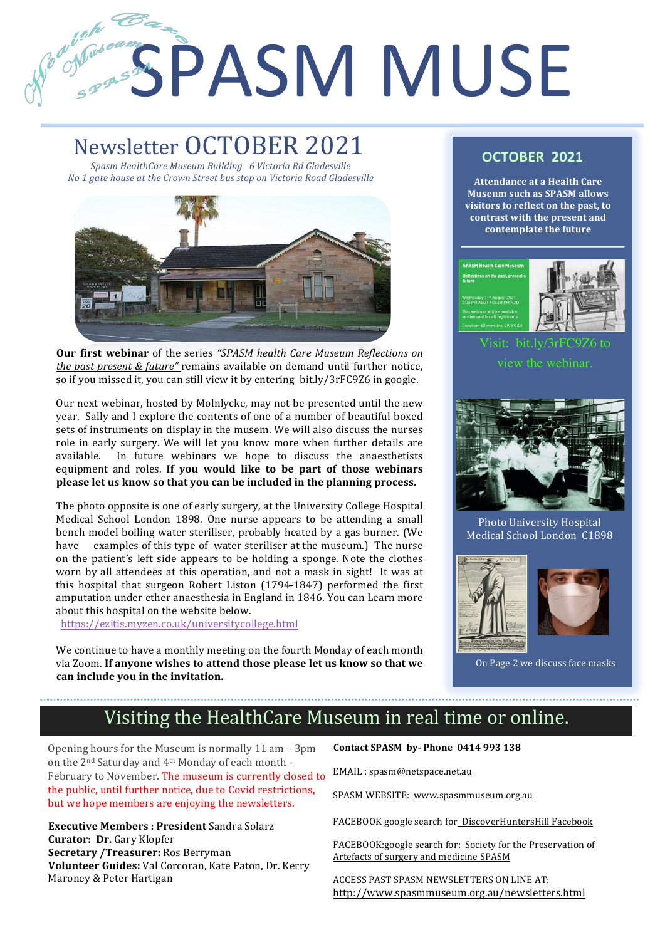# Register SPASM MUSE

# Newsletter OCTOBER 2021

1

2

*Spasm HealthCare Museum Building 6 Victoria Rd Gladesville No* 1 gate house at the Crown Street bus stop on Victoria Road Gladesville



**Our first webinar** of the series "SPASM health Care Museum Reflections on *the past present & future"* remains available on demand until further notice, so if you missed it, you can still view it by entering bit.ly/3rFC9Z6 in google.

Our next webinar, hosted by Molnlycke, may not be presented until the new year. Sally and I explore the contents of one of a number of beautiful boxed sets of instruments on display in the musem. We will also discuss the nurses role in early surgery. We will let you know more when further details are available. In future webinars we hope to discuss the anaesthetists equipment and roles. If you would like to be part of those webinars **please let us know so that you can be included in the planning process.** 

The photo opposite is one of early surgery, at the University College Hospital Medical School London 1898. One nurse appears to be attending a small bench model boiling water steriliser, probably heated by a gas burner. (We have examples of this type of water steriliser at the museum.) The nurse on the patient's left side appears to be holding a sponge. Note the clothes worn by all attendees at this operation, and not a mask in sight! It was at this hospital that surgeon Robert Liston (1794-1847) performed the first amputation under ether anaesthesia in England in 1846. You can Learn more about this hospital on the website below.

 https://ezitis.myzen.co.uk/universitycollege.html

We continue to have a monthly meeting on the fourth Monday of each month via Zoom. If anyone wishes to attend those please let us know so that we can include you in the invitation.

# **OCTOBER 2021**

**Attendance at a Health Care Museum such as SPASM allows visitors to reflect on the past, to** contrast with the present and **contemplate the future** 





Visit: bit.ly/3rFC9Z6 to view the webinar.



Photo University Hospital Medical School London C1898





On Page 2 we discuss face masks

# Visiting the HealthCare Museum in real time or online.

Opening hours for the Museum is normally  $11$  am  $-$  3pm on the 2<sup>nd</sup> Saturday and 4<sup>th</sup> Monday of each month -February to November. The museum is currently closed to the public, until further notice, due to Covid restrictions, but we hope members are enjoying the newsletters.

**Executive Members : President Sandra Solarz Curator: Dr.** Gary Klopfer **Secretary /Treasurer:** Ros Berryman **Volunteer Guides:** Val Corcoran, Kate Paton, Dr. Kerry Maroney & Peter Hartigan

**Contact SPASM by- Phone 0414 993 138** 

EMAIL : spasm@netspace.net.au

SPASM WEBSITE: www.spasmmuseum.org.au

FACEBOOK google search for DiscoverHuntersHill Facebook

FACEBOOK:google search for: Society for the Preservation of Artefacts of surgery and medicine SPASM

ACCESS PAST SPASM NEWSLETTERS ON LINE AT: http://www.spasmmuseum.org.au/newsletters.html